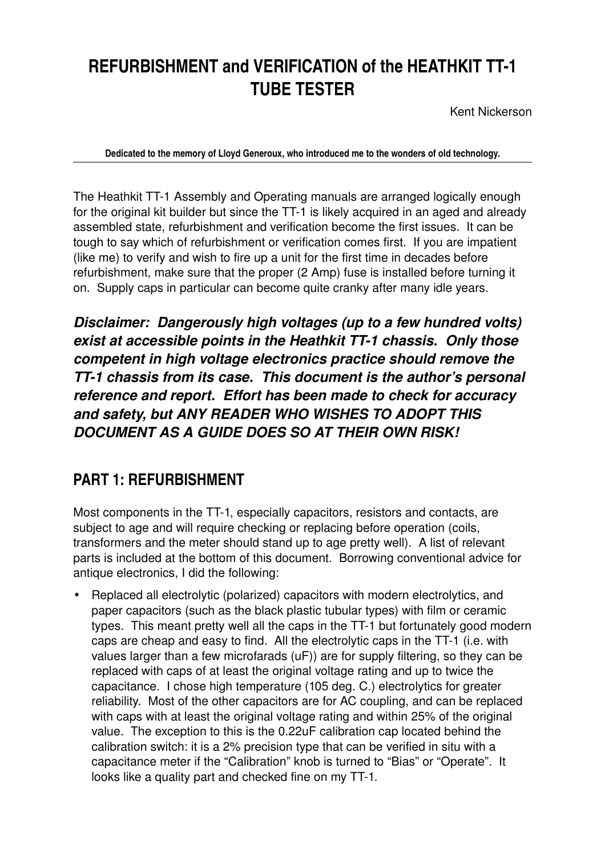# **REFURBISHMENT and VERIFICATION of the HEATHKIT TT-1 TUBE TESTER**

Kent Nickerson

**Dedicated to the memory of Lloyd Generoux, who introduced me to the wonders of old technology.**

The Heathkit TT-1 Assembly and Operating manuals are arranged logically enough for the original kit builder but since the TT-1 is likely acquired in an aged and already assembled state, refurbishment and verification become the first issues. It can be tough to say which of refurbishment or verification comes first. If you are impatient (like me) to verify and wish to fire up a unit for the first time in decades before refurbishment, make sure that the proper (2 Amp) fuse is installed before turning it on. Supply caps in particular can become quite cranky after many idle years.

*Disclaimer: Dangerously high voltages (up to a few hundred volts) exist at accessible points in the Heathkit TT1 chassis. Only those competent in high voltage electronics practice should remove the TT1 chassis from its case. This document is the author's personal reference and report. Effort has been made to check for accuracy and safety, but ANY READER WHO WISHES TO ADOPT THIS DOCUMENT AS A GUIDE DOES SO AT THEIR OWN RISK!*

# **PART 1: REFURBISHMENT**

Most components in the TT-1, especially capacitors, resistors and contacts, are subject to age and will require checking or replacing before operation (coils, transformers and the meter should stand up to age pretty well). A list of relevant parts is included at the bottom of this document. Borrowing conventional advice for antique electronics, I did the following:

• Replaced all electrolytic (polarized) capacitors with modern electrolytics, and paper capacitors (such as the black plastic tubular types) with film or ceramic types. This meant pretty well all the caps in the TT-1 but fortunately good modern caps are cheap and easy to find. All the electrolytic caps in the TT-1 (i.e. with values larger than a few microfarads (uF)) are for supply filtering, so they can be replaced with caps of at least the original voltage rating and up to twice the capacitance. I chose high temperature (105 deg. C.) electrolytics for greater reliability. Most of the other capacitors are for AC coupling, and can be replaced with caps with at least the original voltage rating and within 25% of the original value. The exception to this is the 0.22uF calibration cap located behind the calibration switch: it is a 2% precision type that can be verified in situ with a capacitance meter if the "Calibration" knob is turned to "Bias" or "Operate". It looks like a quality part and checked fine on my TT-1.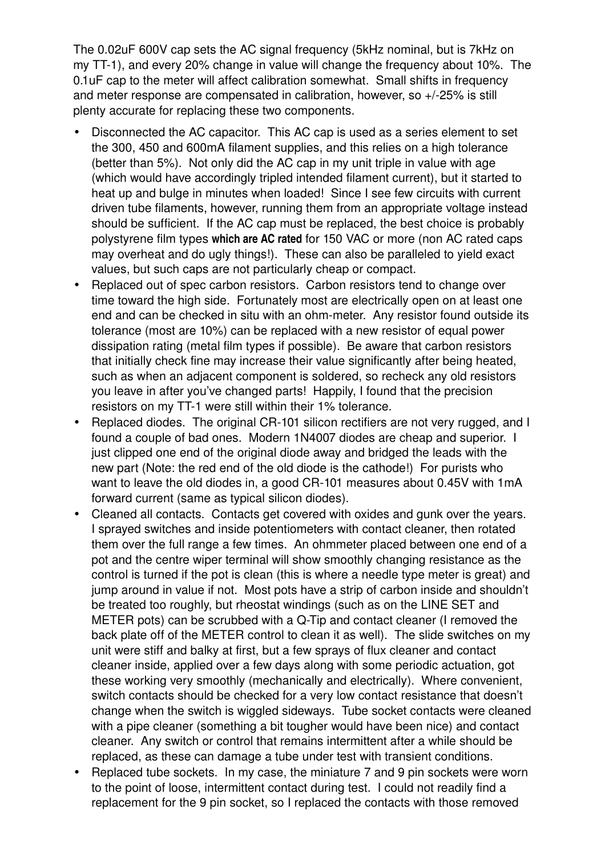The 0.02uF 600V cap sets the AC signal frequency (5kHz nominal, but is 7kHz on my TT-1), and every 20% change in value will change the frequency about 10%. The 0.1uF cap to the meter will affect calibration somewhat. Small shifts in frequency and meter response are compensated in calibration, however, so +/25% is still plenty accurate for replacing these two components.

- Disconnected the AC capacitor. This AC cap is used as a series element to set the 300, 450 and 600mA filament supplies, and this relies on a high tolerance (better than 5%). Not only did the AC cap in my unit triple in value with age (which would have accordingly tripled intended filament current), but it started to heat up and bulge in minutes when loaded! Since I see few circuits with current driven tube filaments, however, running them from an appropriate voltage instead should be sufficient. If the AC cap must be replaced, the best choice is probably polystyrene film types **which are AC rated** for 150 VAC or more (non AC rated caps may overheat and do ugly things!). These can also be paralleled to vield exact values, but such caps are not particularly cheap or compact.
- Replaced out of spec carbon resistors. Carbon resistors tend to change over time toward the high side. Fortunately most are electrically open on at least one end and can be checked in situ with an ohm-meter. Any resistor found outside its tolerance (most are 10%) can be replaced with a new resistor of equal power dissipation rating (metal film types if possible). Be aware that carbon resistors that initially check fine may increase their value significantly after being heated, such as when an adjacent component is soldered, so recheck any old resistors you leave in after you've changed parts! Happily, I found that the precision resistors on my TT-1 were still within their 1% tolerance.
- Replaced diodes. The original CR-101 silicon rectifiers are not very rugged, and I found a couple of bad ones. Modern 1N4007 diodes are cheap and superior. I just clipped one end of the original diode away and bridged the leads with the new part (Note: the red end of the old diode is the cathode!) For purists who want to leave the old diodes in, a good CR-101 measures about 0.45V with 1mA forward current (same as typical silicon diodes).
- Cleaned all contacts. Contacts get covered with oxides and gunk over the years. I sprayed switches and inside potentiometers with contact cleaner, then rotated them over the full range a few times. An ohmmeter placed between one end of a pot and the centre wiper terminal will show smoothly changing resistance as the control is turned if the pot is clean (this is where a needle type meter is great) and jump around in value if not. Most pots have a strip of carbon inside and shouldn't be treated too roughly, but rheostat windings (such as on the LINE SET and METER pots) can be scrubbed with a Q-Tip and contact cleaner (I removed the back plate off of the METER control to clean it as well). The slide switches on my unit were stiff and balky at first, but a few sprays of flux cleaner and contact cleaner inside, applied over a few days along with some periodic actuation, got these working very smoothly (mechanically and electrically). Where convenient, switch contacts should be checked for a very low contact resistance that doesn't change when the switch is wiggled sideways. Tube socket contacts were cleaned with a pipe cleaner (something a bit tougher would have been nice) and contact cleaner. Any switch or control that remains intermittent after a while should be replaced, as these can damage a tube under test with transient conditions.
- Replaced tube sockets. In my case, the miniature 7 and 9 pin sockets were worn to the point of loose, intermittent contact during test. I could not readily find a replacement for the 9 pin socket, so I replaced the contacts with those removed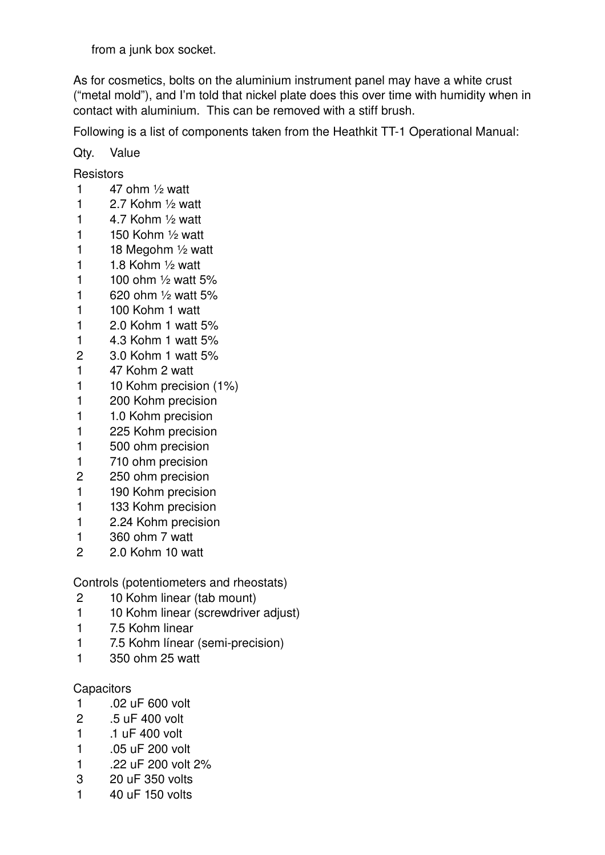from a junk box socket.

As for cosmetics, bolts on the aluminium instrument panel may have a white crust ("metal mold"), and I'm told that nickel plate does this over time with humidity when in contact with aluminium. This can be removed with a stiff brush.

Following is a list of components taken from the Heathkit TT-1 Operational Manual:

Qty. Value

Resistors

- 1 ohm  $\frac{1}{2}$  watt
- 1 2.7 Kohm  $\frac{1}{2}$  watt
- 1  $4.7$  Kohm  $\frac{1}{2}$  watt
- 1 Kohm  $\frac{1}{2}$  watt
- 1 18 Megohm  $\frac{1}{2}$  watt
- 1  $1.8$  Kohm  $\frac{1}{2}$  watt
- 1 ohm  $\frac{1}{2}$  watt 5%
- 620 ohm ½ watt 5%
- 100 Kohm 1 watt
- 2.0 Kohm 1 watt 5%
- 4.3 Kohm 1 watt 5%
- 3.0 Kohm 1 watt 5%
- 47 Kohm 2 watt
- 1 10 Kohm precision (1%)
- 200 Kohm precision
- 1 1.0 Kohm precision
- 225 Kohm precision
- 500 ohm precision
- 710 ohm precision
- 250 ohm precision
- 190 Kohm precision
- 1 133 Kohm precision
- 2.24 Kohm precision
- 360 ohm 7 watt
- 2.0 Kohm 10 watt

Controls (potentiometers and rheostats)

- 10 Kohm linear (tab mount)
- 1 10 Kohm linear (screwdriver adjust)
- 7.5 Kohm linear
- 1 7.5 Kohm línear (semi-precision)
- 350 ohm 25 watt

# **Capacitors**

- .02 uF 600 volt
- .5 uF 400 volt
- .1 uF 400 volt
- .05 uF 200 volt
- .22 uF 200 volt 2%
- 20 uF 350 volts
- 40 uF 150 volts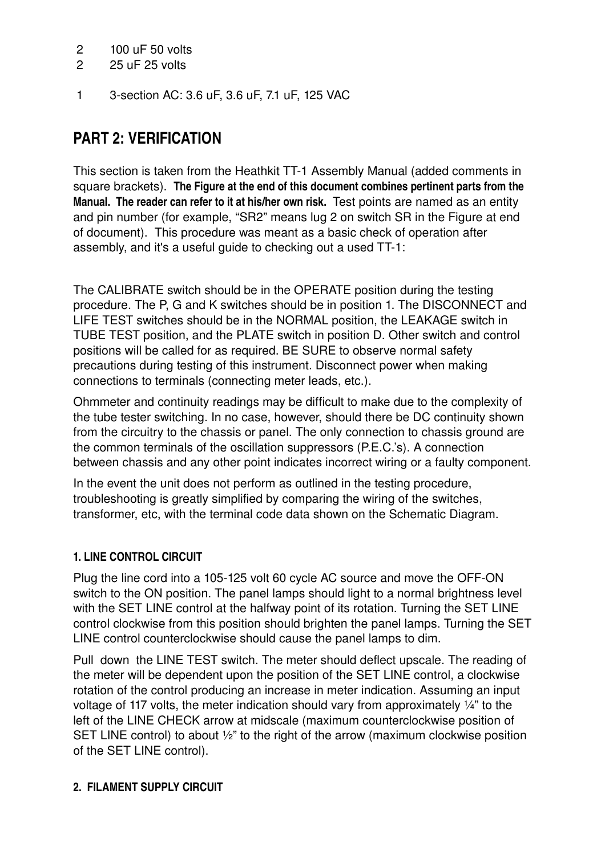### 2 100 uF 50 volts

- 2 25 uF 25 volts
- 1 3section AC: 3.6 uF, 3.6 uF, 7.1 uF, 125 VAC

# **PART 2: VERIFICATION**

This section is taken from the Heathkit TT-1 Assembly Manual (added comments in square brackets). **The Figure at the end of this document combines pertinent parts from the Manual. The reader can refer to it at his/her own risk.** Test points are named as an entity and pin number (for example, "SR2" means lug 2 on switch SR in the Figure at end of document). This procedure was meant as a basic check of operation after assembly, and it's a useful guide to checking out a used TT-1:

The CALIBRATE switch should be in the OPERATE position during the testing procedure. The P, G and K switches should be in position 1. The DISCONNECT and LIFE TEST switches should be in the NORMAL position, the LEAKAGE switch in TUBE TEST position, and the PLATE switch in position D. Other switch and control positions will be called for as required. BE SURE to observe normal safety precautions during testing of this instrument. Disconnect power when making connections to terminals (connecting meter leads, etc.).

Ohmmeter and continuity readings may be difficult to make due to the complexity of the tube tester switching. In no case, however, should there be DC continuity shown from the circuitry to the chassis or panel. The only connection to chassis ground are the common terminals of the oscillation suppressors (P.E.C.'s). A connection between chassis and any other point indicates incorrect wiring or a faulty component.

In the event the unit does not perform as outlined in the testing procedure, troubleshooting is greatly simplified by comparing the wiring of the switches, transformer, etc, with the terminal code data shown on the Schematic Diagram.

# **1. LINE CONTROL CIRCUIT**

Plug the line cord into a 105-125 volt 60 cycle AC source and move the OFF-ON switch to the ON position. The panel lamps should light to a normal brightness level with the SET LINE control at the halfway point of its rotation. Turning the SET LINE control clockwise from this position should brighten the panel lamps. Turning the SET LINE control counterclockwise should cause the panel lamps to dim.

Pull down the LINE TEST switch. The meter should deflect upscale. The reading of the meter will be dependent upon the position of the SET LINE control, a clockwise rotation of the control producing an increase in meter indication. Assuming an input voltage of 117 volts, the meter indication should vary from approximately ¼" to the left of the LINE CHECK arrow at midscale (maximum counterclockwise position of SET LINE control) to about ½" to the right of the arrow (maximum clockwise position of the SET LINE control).

#### **2. FILAMENT SUPPLY CIRCUIT**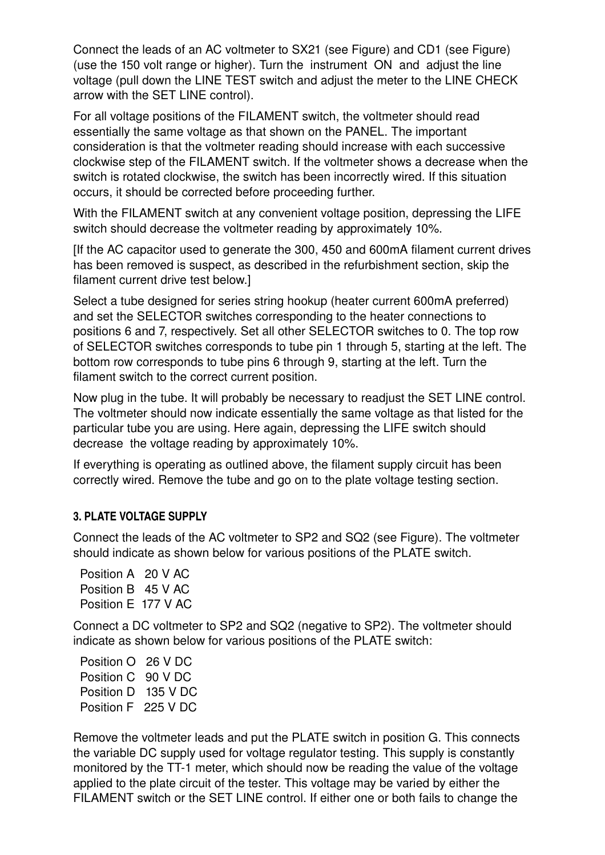Connect the leads of an AC voltmeter to SX21 (see Figure) and CD1 (see Figure) (use the 150 volt range or higher). Turn the instrument ON and adjust the line voltage (pull down the LINE TEST switch and adjust the meter to the LINE CHECK arrow with the SET LINE control).

For all voltage positions of the FILAMENT switch, the voltmeter should read essentially the same voltage as that shown on the PANEL. The important consideration is that the voltmeter reading should increase with each successive clockwise step of the FILAMENT switch. If the voltmeter shows a decrease when the switch is rotated clockwise, the switch has been incorrectly wired. If this situation occurs, it should be corrected before proceeding further.

With the FILAMENT switch at any convenient voltage position, depressing the LIFE switch should decrease the voltmeter reading by approximately 10%.

[If the AC capacitor used to generate the 300, 450 and 600mA filament current drives has been removed is suspect, as described in the refurbishment section, skip the filament current drive test below.]

Select a tube designed for series string hookup (heater current 600mA preferred) and set the SELECTOR switches corresponding to the heater connections to positions 6 and 7, respectively. Set all other SELECTOR switches to 0. The top row of SELECTOR switches corresponds to tube pin 1 through 5, starting at the left. The bottom row corresponds to tube pins 6 through 9, starting at the left. Turn the filament switch to the correct current position.

Now plug in the tube. It will probably be necessary to readjust the SET LINE control. The voltmeter should now indicate essentially the same voltage as that listed for the particular tube you are using. Here again, depressing the LIFE switch should decrease the voltage reading by approximately 10%.

If everything is operating as outlined above, the filament supply circuit has been correctly wired. Remove the tube and go on to the plate voltage testing section.

#### **3. PLATE VOLTAGE SUPPLY**

Connect the leads of the AC voltmeter to SP2 and SQ2 (see Figure). The voltmeter should indicate as shown below for various positions of the PLATE switch.

Position A 20 V AC Position B 45 V AC Position E 177 V AC

Connect a DC voltmeter to SP2 and SQ2 (negative to SP2). The voltmeter should indicate as shown below for various positions of the PLATE switch:

Position O 26 V DC Position C 90 V DC Position D 135 V DC Position F 225 V DC

Remove the voltmeter leads and put the PLATE switch in position G. This connects the variable DC supply used for voltage regulator testing. This supply is constantly monitored by the TT-1 meter, which should now be reading the value of the voltage applied to the plate circuit of the tester. This voltage may be varied by either the FILAMENT switch or the SET LINE control. If either one or both fails to change the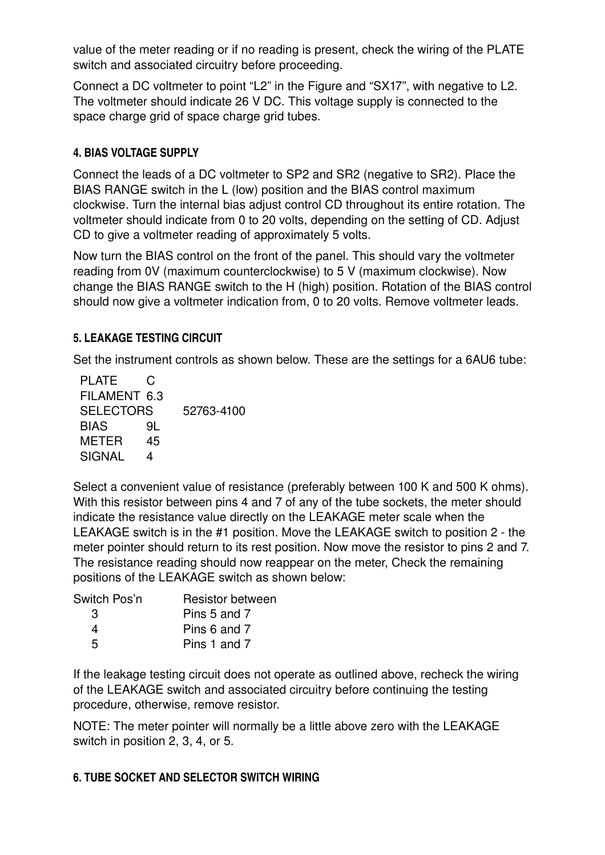value of the meter reading or if no reading is present, check the wiring of the PLATE switch and associated circuitry before proceeding.

Connect a DC voltmeter to point "L2" in the Figure and "SX17", with negative to L2. The voltmeter should indicate 26 V DC. This voltage supply is connected to the space charge grid of space charge grid tubes.

### **4. BIAS VOLTAGE SUPPLY**

Connect the leads of a DC voltmeter to SP2 and SR2 (negative to SR2). Place the BIAS RANGE switch in the L (low) position and the BIAS control maximum clockwise. Turn the internal bias adjust control CD throughout its entire rotation. The voltmeter should indicate from 0 to 20 volts, depending on the setting of CD. Adjust CD to give a voltmeter reading of approximately 5 volts.

Now turn the BIAS control on the front of the panel. This should vary the voltmeter reading from 0V (maximum counterclockwise) to 5 V (maximum clockwise). Now change the BIAS RANGE switch to the H (high) position. Rotation of the BIAS control should now give a voltmeter indication from, 0 to 20 volts. Remove voltmeter leads.

#### **5. LEAKAGE TESTING CIRCUIT**

Set the instrument controls as shown below. These are the settings for a 6AU6 tube:

| <b>PLATE</b>     | C.  |            |
|------------------|-----|------------|
| FILAMENT 6.3     |     |            |
| <b>SELECTORS</b> |     | 52763-4100 |
| <b>BIAS</b>      | 91. |            |
| METER            | 45  |            |
| <b>SIGNAL</b>    | 4   |            |

Select a convenient value of resistance (preferably between 100 K and 500 K ohms). With this resistor between pins 4 and 7 of any of the tube sockets, the meter should indicate the resistance value directly on the LEAKAGE meter scale when the LEAKAGE switch is in the #1 position. Move the LEAKAGE switch to position 2 the meter pointer should return to its rest position. Now move the resistor to pins 2 and 7. The resistance reading should now reappear on the meter, Check the remaining positions of the LEAKAGE switch as shown below:

| Switch Pos'n | <b>Resistor between</b> |
|--------------|-------------------------|
| -3.          | Pins 5 and 7            |
| Δ            | Pins 6 and 7            |
| 5            | Pins 1 and 7            |

If the leakage testing circuit does not operate as outlined above, recheck the wiring of the LEAKAGE switch and associated circuitry before continuing the testing procedure, otherwise, remove resistor.

NOTE: The meter pointer will normally be a little above zero with the LEAKAGE switch in position 2, 3, 4, or 5.

# **6. TUBE SOCKET AND SELECTOR SWITCH WIRING**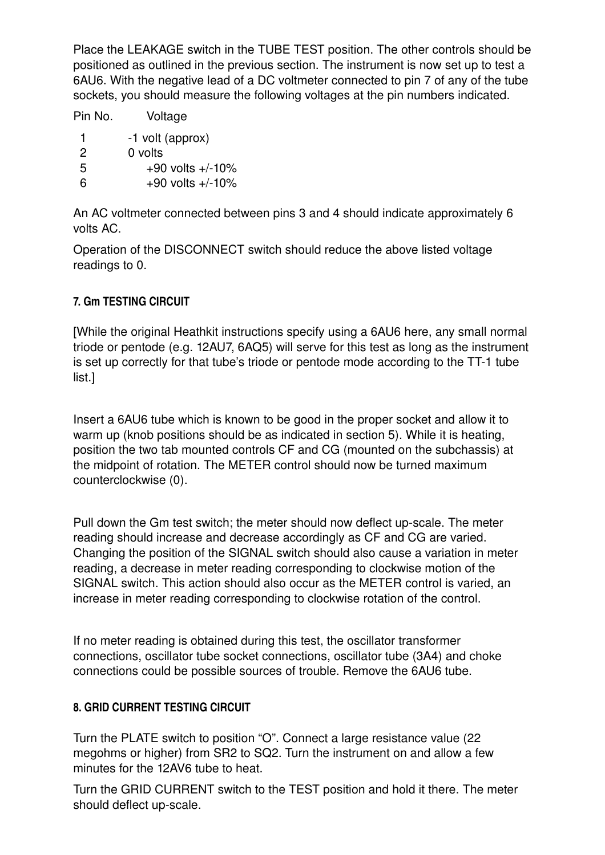Place the LEAKAGE switch in the TUBE TEST position. The other controls should be positioned as outlined in the previous section. The instrument is now set up to test a 6AU6. With the negative lead of a DC voltmeter connected to pin 7 of any of the tube sockets, you should measure the following voltages at the pin numbers indicated.

Pin No. Voltage 1 -1 volt (approx) 2 0 volts  $5 +90$  volts  $+/-10\%$ 6  $+90$  volts  $+/-10\%$ 

An AC voltmeter connected between pins 3 and 4 should indicate approximately 6 volts AC.

Operation of the DISCONNECT switch should reduce the above listed voltage readings to 0.

# **7. Gm TESTING CIRCUIT**

[While the original Heathkit instructions specify using a 6AU6 here, any small normal triode or pentode (e.g. 12AU7, 6AQ5) will serve for this test as long as the instrument is set up correctly for that tube's triode or pentode mode according to the TT-1 tube list.]

Insert a 6AU6 tube which is known to be good in the proper socket and allow it to warm up (knob positions should be as indicated in section 5). While it is heating, position the two tab mounted controls CF and CG (mounted on the subchassis) at the midpoint of rotation. The METER control should now be turned maximum counterclockwise (0).

Pull down the Gm test switch; the meter should now deflect up-scale. The meter reading should increase and decrease accordingly as CF and CG are varied. Changing the position of the SIGNAL switch should also cause a variation in meter reading, a decrease in meter reading corresponding to clockwise motion of the SIGNAL switch. This action should also occur as the METER control is varied, an increase in meter reading corresponding to clockwise rotation of the control.

If no meter reading is obtained during this test, the oscillator transformer connections, oscillator tube socket connections, oscillator tube (3A4) and choke connections could be possible sources of trouble. Remove the 6AU6 tube.

# **8. GRID CURRENT TESTING CIRCUIT**

Turn the PLATE switch to position "O". Connect a large resistance value (22 megohms or higher) from SR2 to SQ2. Turn the instrument on and allow a few minutes for the 12AV6 tube to heat.

Turn the GRID CURRENT switch to the TEST position and hold it there. The meter should deflect up-scale.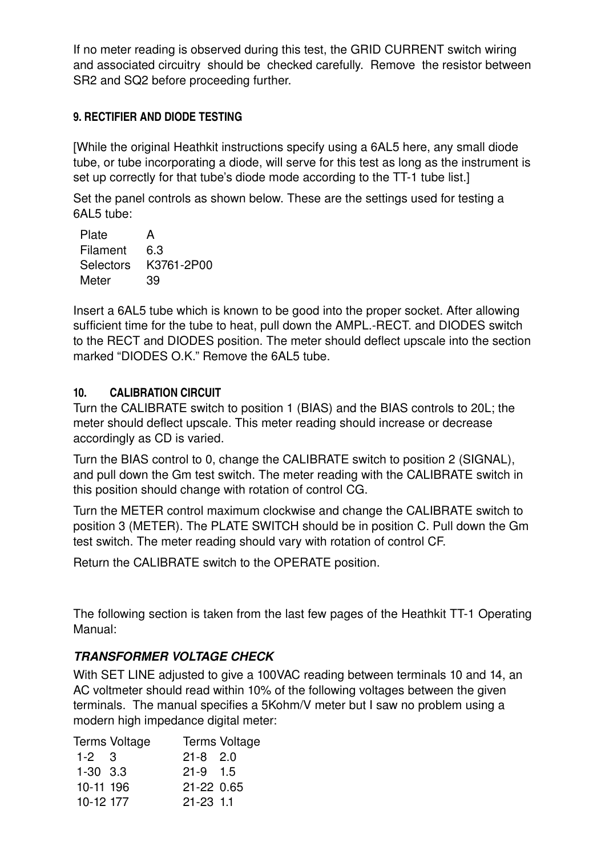If no meter reading is observed during this test, the GRID CURRENT switch wiring and associated circuitry should be checked carefully. Remove the resistor between SR2 and SQ2 before proceeding further.

#### **9. RECTIFIER AND DIODE TESTING**

[While the original Heathkit instructions specify using a 6AL5 here, any small diode tube, or tube incorporating a diode, will serve for this test as long as the instrument is set up correctly for that tube's diode mode according to the TT-1 tube list.]

Set the panel controls as shown below. These are the settings used for testing a 6AL5 tube:

| А          |
|------------|
| 6.3        |
| K3761-2P00 |
| 39         |
|            |

Insert a 6AL5 tube which is known to be good into the proper socket. After allowing sufficient time for the tube to heat, pull down the AMPL.-RECT. and DIODES switch to the RECT and DIODES position. The meter should deflect upscale into the section marked "DIODES O.K." Remove the 6AL5 tube.

#### **10. CALIBRATION CIRCUIT**

Turn the CALIBRATE switch to position 1 (BIAS) and the BIAS controls to 20L; the meter should deflect upscale. This meter reading should increase or decrease accordingly as CD is varied.

Turn the BIAS control to 0, change the CALIBRATE switch to position 2 (SIGNAL), and pull down the Gm test switch. The meter reading with the CALIBRATE switch in this position should change with rotation of control CG.

Turn the METER control maximum clockwise and change the CALIBRATE switch to position 3 (METER). The PLATE SWITCH should be in position C. Pull down the Gm test switch. The meter reading should vary with rotation of control CF.

Return the CALIBRATE switch to the OPERATE position.

The following section is taken from the last few pages of the Heathkit TT-1 Operating Manual:

# *TRANSFORMER VOLTAGE CHECK*

With SET LINE adjusted to give a 100VAC reading between terminals 10 and 14, an AC voltmeter should read within 10% of the following voltages between the given terminals. The manual specifies a 5Kohm/V meter but I saw no problem using a modern high impedance digital meter:

| Terms Voltage | Terms Voltage |
|---------------|---------------|
| $1 - 2$ 3     | $21 - 8$ 2.0  |
| $1 - 30$ 3.3  | $21-9$ 1.5    |
| 10-11 196     | 21-22 0.65    |
| 10-12 177     | $21 - 23$ 1.1 |
|               |               |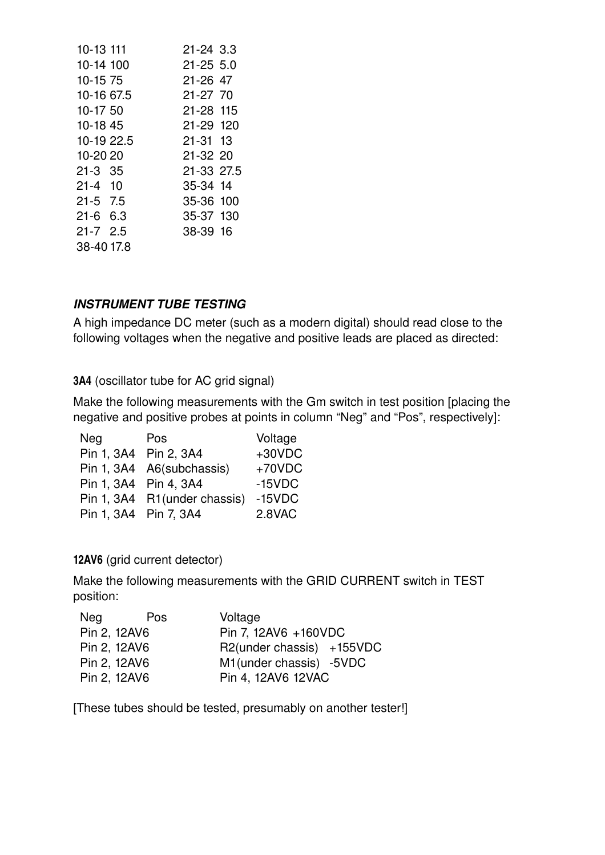| 10-13 111    | $21 - 24$ 3.3 |  |
|--------------|---------------|--|
| 10-14 100    | $21 - 25$ 5.0 |  |
| 10-15 75     | $21 - 26$ 47  |  |
| 10-16 67.5   | $21 - 27$ 70  |  |
| 10-17 50     | 21-28 115     |  |
| 10-18 45     | 21-29 120     |  |
| 10-19 22.5   | $21 - 31$ 13  |  |
| 10-20 20     | 21-32 20      |  |
| $21 - 3$ 35  | 21-33 27.5    |  |
| $21 - 4$ 10  | 35-34 14      |  |
| $21 - 5$ 7.5 | 35-36 100     |  |
| $21 - 6$ 6.3 | 35-37 130     |  |
| $21 - 7$ 2.5 | 38-39 16      |  |
| 38-40 17.8   |               |  |
|              |               |  |

#### *INSTRUMENT TUBE TESTING*

A high impedance DC meter (such as a modern digital) should read close to the following voltages when the negative and positive leads are placed as directed:

**3A4** (oscillator tube for AC grid signal)

Make the following measurements with the Gm switch in test position [placing the negative and positive probes at points in column "Neg" and "Pos", respectively]:

| <b>Neg</b>            | Pos                          | Voltage  |
|-----------------------|------------------------------|----------|
|                       | Pin 1, 3A4 Pin 2, 3A4        | $+30VDC$ |
|                       | Pin 1, 3A4 A6(subchassis)    | $+70VDC$ |
|                       | Pin 1, 3A4 Pin 4, 3A4        | $-15VDC$ |
|                       | Pin 1, 3A4 R1(under chassis) | $-15VDC$ |
| Pin 1, 3A4 Pin 7, 3A4 |                              | 2.8VAC   |

#### **12AV6** (grid current detector)

Make the following measurements with the GRID CURRENT switch in TEST position:

| Neg | Pos          | Voltage                   |
|-----|--------------|---------------------------|
|     | Pin 2, 12AV6 | Pin 7, 12AV6 +160VDC      |
|     | Pin 2, 12AV6 | R2(under chassis) +155VDC |
|     | Pin 2, 12AV6 | M1(under chassis) -5VDC   |
|     | Pin 2, 12AV6 | Pin 4, 12AV6 12VAC        |

[These tubes should be tested, presumably on another tester!]